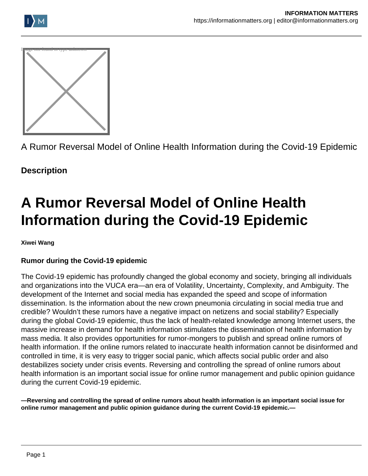





A Rumor Reversal Model of Online Health Information during the Covid-19 Epidemic

**Description**

# **A Rumor Reversal Model of Online Health Information during the Covid-19 Epidemic**

**Xiwei Wang**

# **Rumor during the Covid-19 epidemic**

The Covid-19 epidemic has profoundly changed the global economy and society, bringing all individuals and organizations into the VUCA era—an era of Volatility, Uncertainty, Complexity, and Ambiguity. The development of the Internet and social media has expanded the speed and scope of information dissemination. Is the information about the new crown pneumonia circulating in social media true and credible? Wouldn't these rumors have a negative impact on netizens and social stability? Especially during the global Covid-19 epidemic, thus the lack of health-related knowledge among Internet users, the massive increase in demand for health information stimulates the dissemination of health information by mass media. It also provides opportunities for rumor-mongers to publish and spread online rumors of health information. If the online rumors related to inaccurate health information cannot be disinformed and controlled in time, it is very easy to trigger social panic, which affects social public order and also destabilizes society under crisis events. Reversing and controlling the spread of online rumors about health information is an important social issue for online rumor management and public opinion guidance during the current Covid-19 epidemic.

**—Reversing and controlling the spread of online rumors about health information is an important social issue for online rumor management and public opinion guidance during the current Covid-19 epidemic.—**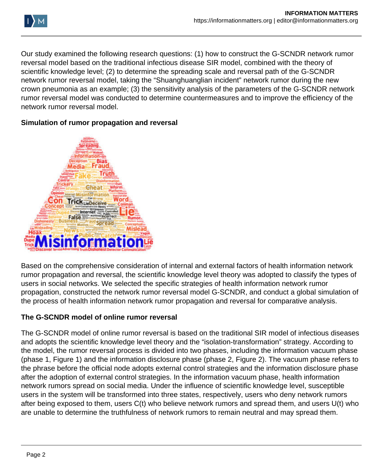

Our study examined the following research questions: (1) how to construct the G-SCNDR network rumor reversal model based on the traditional infectious disease SIR model, combined with the theory of scientific knowledge level; (2) to determine the spreading scale and reversal path of the G-SCNDR network rumor reversal model, taking the "Shuanghuanglian incident" network rumor during the new crown pneumonia as an example; (3) the sensitivity analysis of the parameters of the G-SCNDR network rumor reversal model was conducted to determine countermeasures and to improve the efficiency of the network rumor reversal model.

### **Simulation of rumor propagation and reversal**



Based on the comprehensive consideration of internal and external factors of health information network rumor propagation and reversal, the scientific knowledge level theory was adopted to classify the types of users in social networks. We selected the specific strategies of health information network rumor propagation, constructed the network rumor reversal model G-SCNDR, and conduct a global simulation of the process of health information network rumor propagation and reversal for comparative analysis.

# **The G-SCNDR model of online rumor reversal**

The G-SCNDR model of online rumor reversal is based on the traditional SIR model of infectious diseases and adopts the scientific knowledge level theory and the "isolation-transformation" strategy. According to the model, the rumor reversal process is divided into two phases, including the information vacuum phase (phase 1, Figure 1) and the information disclosure phase (phase 2, Figure 2). The vacuum phase refers to the phrase before the official node adopts external control strategies and the information disclosure phase after the adoption of external control strategies. In the information vacuum phase, health information network rumors spread on social media. Under the influence of scientific knowledge level, susceptible users in the system will be transformed into three states, respectively, users who deny network rumors after being exposed to them, users C(t) who believe network rumors and spread them, and users U(t) who are unable to determine the truthfulness of network rumors to remain neutral and may spread them.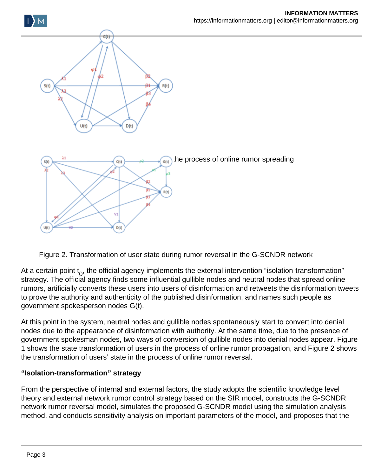



At a certain point  $t_0$ , the official agency implements the external intervention "isolation-transformation" strategy. The official agency finds some influential gullible nodes and neutral nodes that spread online rumors, artificially converts these users into users of disinformation and retweets the disinformation tweets to prove the authority and authenticity of the published disinformation, and names such people as government spokesperson nodes G(t).

At this point in the system, neutral nodes and gullible nodes spontaneously start to convert into denial nodes due to the appearance of disinformation with authority. At the same time, due to the presence of government spokesman nodes, two ways of conversion of gullible nodes into denial nodes appear. Figure 1 shows the state transformation of users in the process of online rumor propagation, and Figure 2 shows the transformation of users' state in the process of online rumor reversal.

# **"Isolation-transformation" strategy**

From the perspective of internal and external factors, the study adopts the scientific knowledge level theory and external network rumor control strategy based on the SIR model, constructs the G-SCNDR network rumor reversal model, simulates the proposed G-SCNDR model using the simulation analysis method, and conducts sensitivity analysis on important parameters of the model, and proposes that the